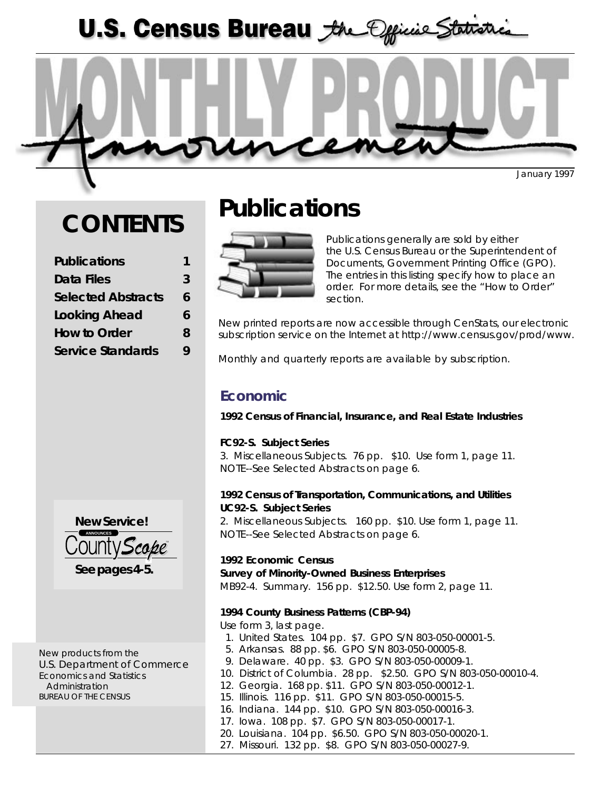U.S. Census Bureau the Official Statistics



January 1997

# **CONTENTS**

| <b>Publications</b>       |   |
|---------------------------|---|
| Data Files                | 3 |
| <b>Selected Abstracts</b> | 6 |
| <b>Looking Ahead</b>      | 6 |
| <b>How to Order</b>       | 8 |
| <b>Service Standards</b>  | Q |
|                           |   |



New products from the U.S. Department of Commerce Economics and Statistics Administration BUREAU OF THE CENSUS

# **Publications**



Publications generally are sold by either the U.S. Census Bureau or the Superintendent of Documents, Government Printing Office (GPO). The entries in this listing specify how to place an order. For more details, see the "How to Order" section.

New printed reports are now accessible through CenStats, our electronic subscription service on the Internet at *http://www.census.gov/prod/www*.

Monthly and quarterly reports are available by subscription.

## **Economic**

*1992 Census of Financial, Insurance, and Real Estate Industries*

### **FC92-S. Subject Series**

3. Miscellaneous Subjects. 76 pp. \$10. Use form 1, page 11. NOTE--See Selected Abstracts on page 6.

### *1992 Census of Transportation, Communications, and Utilities* **UC92-S. Subject Series**

2. Miscellaneous Subjects. 160 pp. \$10. Use form 1, page 11. NOTE--See Selected Abstracts on page 6.

*1992 Economic Census* **Survey of Minority-Owned Business Enterprises** MB92-4. Summary. 156 pp. \$12.50. Use form 2, page 11.

### *1994 County Business Patterns (CBP-94)*

*Use form 3, last page*.

- *1. United States*. 104 pp. \$7. GPO S/N 803-050-00001-5.
- *5. Arkansas*. 88 pp. \$6. GPO S/N 803-050-00005-8.
- *9. Delaware*. 40 pp. \$3. GPO S/N 803-050-00009-1.
- *10. District of Columbia*. 28 pp. \$2.50. GPO S/N 803-050-00010-4.
- *12. Georgia*. 168 pp. \$11. GPO S/N 803-050-00012-1.
- *15. Illinois*. 116 pp. \$11. GPO S/N 803-050-00015-5.
- *16. Indiana*. 144 pp. \$10. GPO S/N 803-050-00016-3.
- *17. Iowa*. 108 pp. \$7. GPO S/N 803-050-00017-1.
- *20. Louisiana*. 104 pp. \$6.50. GPO S/N 803-050-00020-1.
- *27. Missouri*. 132 pp. \$8. GPO S/N 803-050-00027-9.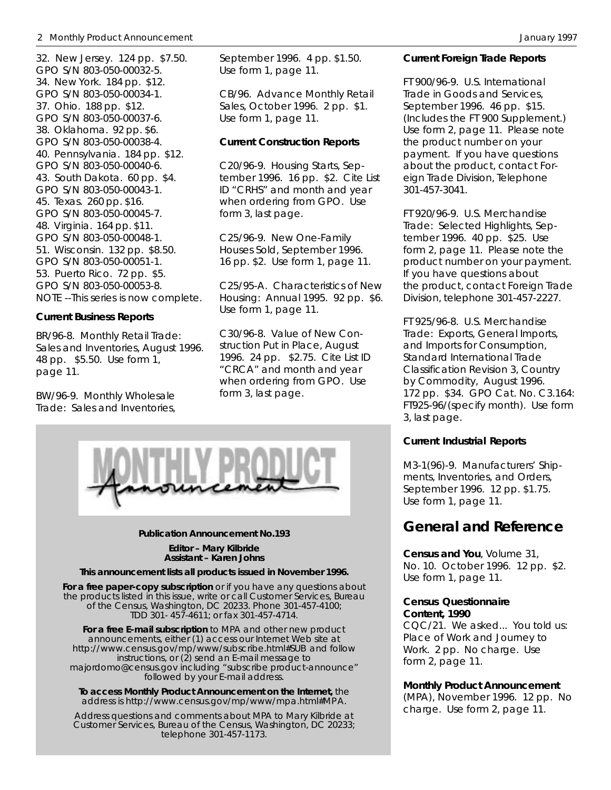#### 2 Monthly Product Announcement **Announcement** Announcement Announcement Announcement Announcement Announcement Announcement Announcement Announcement Announcement Announcement Announcement Announcement Announcement Announc

*32. New Jersey*. 124 pp. \$7.50. GPO S/N 803-050-00032-5. *34. New York*. 184 pp. \$12. GPO S/N 803-050-00034-1. *37. Ohio*. 188 pp. \$12. GPO S/N 803-050-00037-6. *38. Oklahoma*. 92 pp. \$6. GPO S/N 803-050-00038-4. *40. Pennsylvania*. 184 pp. \$12. GPO S/N 803-050-00040-6. *43. South Dakota*. 60 pp. \$4. GPO S/N 803-050-00043-1. *45. Texas*. 260 pp. \$16. GPO S/N 803-050-00045-7. *48. Virginia*. 164 pp. \$11. GPO S/N 803-050-00048-1. *51. Wisconsin*. 132 pp. \$8.50. GPO S/N 803-050-00051-1. *53. Puerto Rico*. 72 pp. \$5. GPO S/N 803-050-00053-8. NOTE --This series is now complete.

### *Current Business Reports*

*BR/96-8. Monthly Retail Trade: Sales and Inventories, August 1996.* 48 pp. \$5.50. Use form 1, page 11.

*BW/96-9. Monthly Wholesale Trade: Sales and Inventories,*

*September 1996.* 4 pp. \$1.50. Use form 1, page 11.

*CB/96. Advance Monthly Retail Sales, October 1996.* 2 pp. \$1. Use form 1, page 11.

#### *Current Construction Reports*

*C20/96-9. Housing Starts, September 1996.* 16 pp. \$2. Cite List ID "CRHS" and month and year when ordering from GPO. Use form 3, last page.

*C25/96-9. New One-Family Houses Sold, September 1996.* 16 pp. \$2. Use form 1, page 11.

*C25/95-A. Characteristics of New Housing: Annual 1995.* 92 pp. \$6. Use form 1, page 11.

*C30/96-8. Value of New Construction Put in Place, August 1996.* 24 pp. \$2.75. Cite List ID "CRCA" and month and year when ordering from GPO. Use form 3, last page.



#### **Publication Announcement No.193**

**Editor – Mary Kilbride Assistant – Karen Johns**

#### **This announcement lists all products issued in November 1996.**

**For a free paper-copy subscription** or if you have any questions about the products listed in this issue, write or call Customer Services, Bureau of the Census, Washington, DC 20233. Phone 301-457-4100; TDD 301- 457-4611; or fax 301-457-4714.

**For a free E-mail subscription** to MPA and other new product announcements, either (1) access our Internet Web site at *http://www.census.gov/mp/www/subscribe.html#SUB* and follow instructions, or (2) send an E-mail message to *majordomo@census.gov* including "subscribe product-announce" followed by your E-mail address.

**To access Monthly Product Announcement on the Internet,** the address is *http://www.census.gov/mp/www/mpa.html#MPA*.

Address questions and comments about MPA to Mary Kilbride at Customer Services, Bureau of the Census, Washington, DC 20233; telephone 301-457-1173.

#### *Current Foreign Trade Reports*

*FT 900/96-9. U.S. International Trade in Goods and Services, September 1996.* 46 pp. \$15. (Includes the FT 900 Supplement.) Use form 2, page 11. Please note the product number on your payment. If you have questions about the product, contact Foreign Trade Division, Telephone 301-457-3041.

*FT 920/96-9. U.S. Merchandise Trade: Selected Highlights, September 1996*. 40 pp. \$25. Use form 2, page 11. Please note the product number on your payment. If you have questions about the product, contact Foreign Trade Division, telephone 301-457-2227.

*FT 925/96-8. U.S. Merchandise Trade: Exports, General Imports, and Imports for Consumption, Standard International Trade Classification Revision 3, Country by Commodity, August 1996*. 172 pp. \$34. GPO Cat. No. C3.164: FT925-96/(specify month). Use form 3, last page.

#### *Current Industrial Reports*

*M3-1(96)-9. Manufacturers' Shipments, Inventories, and Orders, September 1996*. 12 pp. \$1.75. Use form 1, page 11.

### *General and Reference*

*Census and You*, Volume 31, No. 10. October 1996. 12 pp. \$2. Use form 1, page 11.

#### *Census Questionnaire Content, 1990*

CQC/21. We asked... You told us: Place of Work and Journey to Work. 2 pp. No charge. Use form 2, page 11.

#### *Monthly Product Announcement*

*(*MPA), November 1996. 12 pp. No charge. Use form 2, page 11.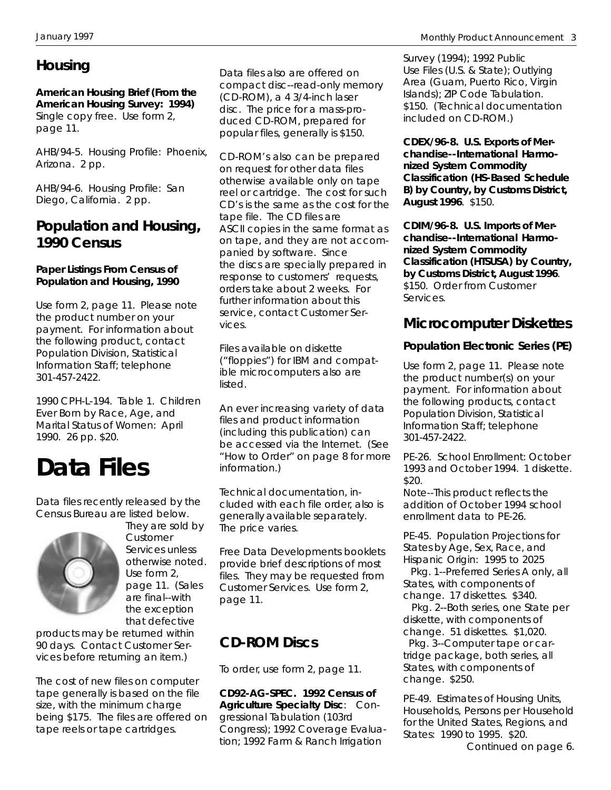# **Housing**

*American Housing Brief (From the American Housing Survey: 1994)* Single copy free. Use form 2, page 11.

*AHB/94-5. Housing Profile: Phoenix, Arizona.* 2 pp.

*AHB/94-6. Housing Profile: San Diego, California*. 2 pp.

## **Population and Housing, 1990 Census**

### *Paper Listings From Census of Population and Housing, 1990*

Use form 2, page 11. Please note the product number on your payment. For information about the following product, contact Population Division, Statistical Information Staff; telephone 301-457-2422.

*1990 CPH-L-194. Table 1. Children Ever Born by Race, Age, and Marital Status of Women: April 1990.* 26 pp. \$20.

# **Data Files**

Data files recently released by the Census Bureau are listed below.



They are sold by Customer Services unless otherwise noted. Use form 2, page 11. (Sales are final--with the exception that defective

products may be returned within 90 days. Contact Customer Services before returning an item.)

The cost of new files on computer tape generally is based on the file size, with the minimum charge being \$175. The files are offered on tape reels or tape cartridges.

Data files also are offered on compact disc--read-only memory (CD-ROM), a 4 3/4-inch laser disc. The price for a mass-produced CD-ROM, prepared for popular files, generally is \$150.

CD-ROM's also can be prepared on request for other data files otherwise available only on tape reel or cartridge. The cost for such CD's is the same as the cost for the tape file. The CD files are ASCII copies in the same format as on tape, and they are not accompanied by software. Since the discs are specially prepared in response to customers' requests, orders take about 2 weeks. For further information about this service, contact Customer Services.

Files available on diskette ("floppies") for IBM and compatible microcomputers also are listed.

An ever increasing variety of data files and product information (including this publication) can be accessed via the Internet. (See "How to Order" on page 8 for more information.)

Technical documentation, included with each file order, also is generally available separately. The price varies.

Free *Data Developments* booklets provide brief descriptions of most files. They may be requested from Customer Services. Use form 2, page 11.

# **CD-ROM Discs**

*To order, use form 2, page 11.*

**CD92-AG-SPEC. 1992 Census of Agriculture Specialty Disc**: Congressional Tabulation (103rd Congress); 1992 Coverage Evaluation; 1992 Farm & Ranch Irrigation

Survey (1994); 1992 Public Use Files (U.S. & State); Outlying Area (Guam, Puerto Rico, Virgin Islands); ZIP Code Tabulation. \$150. (Technical documentation included on CD-ROM.)

**CDEX/96-8. U.S. Exports of Merchandise--International Harmonized System Commodity Classification (HS-Based Schedule B) by Country, by Customs District, August 1996**. \$150.

**CDIM/96-8. U.S. Imports of Merchandise--International Harmonized System Commodity Classification (HTSUSA) by Country, by Customs District, August 1996**. \$150. Order from Customer Services.

## **Microcomputer Diskettes**

## **Population Electronic Series (PE)**

Use form 2, page 11. Please note the product number(s) on your payment. For information about the following products, contact Population Division, Statistical Information Staff; telephone 301-457-2422.

PE-26. School Enrollment: October 1993 and October 1994. 1 diskette. \$20.

Note--This product reflects the addition of October 1994 school enrollment data to PE-26.

PE-45. Population Projections for States by Age, Sex, Race, and Hispanic Origin: 1995 to 2025

 Pkg. 1--Preferred Series A only, all States, with components of change. 17 diskettes. \$340.

 Pkg. 2--Both series, one State per diskette, with components of change. 51 diskettes. \$1,020. Pkg. 3--Computer tape or cartridge package, both series, all States, with components of change. \$250.

PE-49. Estimates of Housing Units, Households, Persons per Household for the United States, Regions, and States: 1990 to 1995. \$20.

*Continued on page 6.*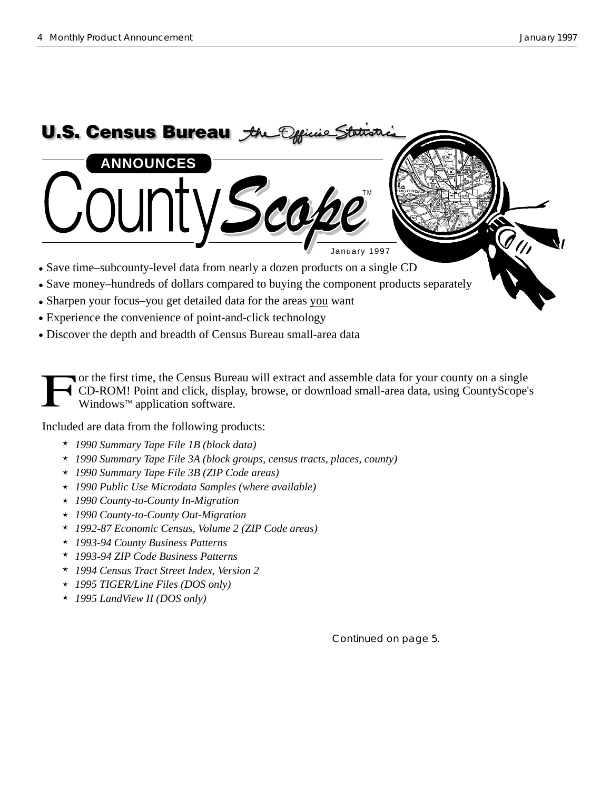

Discover the depth and breadth of Census Bureau small-area data

or the first time, the Census Bureau will extract and assemble data for your county on a single CD-ROM! Point and click, display, browse, or download small-area data, using CountyScope's Windows™ application software.

Included are data from the following products:

- *1990 Summary Tape File 1B (block data)*
- *1990 Summary Tape File 3A (block groups, census tracts, places, county)*
- *1990 Summary Tape File 3B (ZIP Code areas)*
- *1990 Public Use Microdata Samples (where available)*
- *1990 County-to-County In-Migration*
- *1990 County-to-County Out-Migration*
- *1992-87 Economic Census, Volume 2 (ZIP Code areas)*
- *1993-94 County Business Patterns*
- *1993-94 ZIP Code Business Patterns*
- *1994 Census Tract Street Index, Version 2*
- *1995 TIGER/Line Files (DOS only)*
- *1995 LandView II (DOS only)*

Continued on page 5.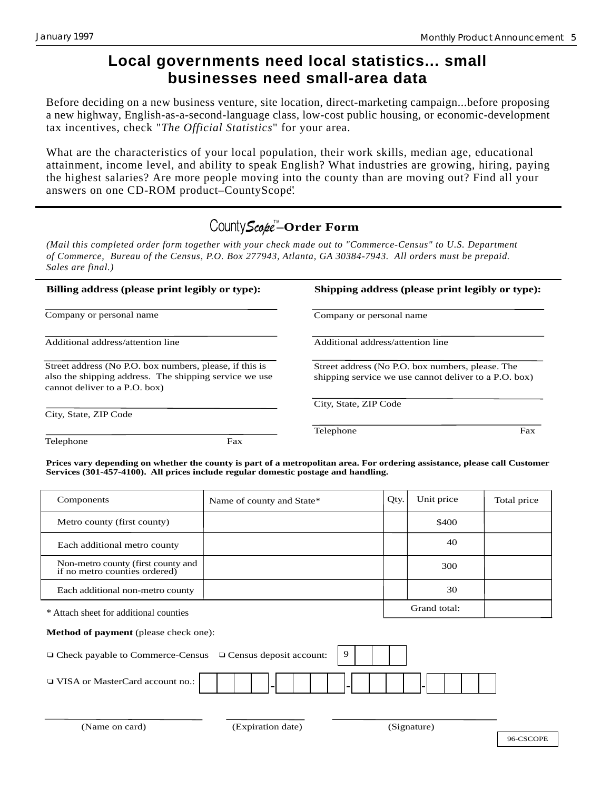## **Local governments need local statistics... small businesses need small-area data**

Before deciding on a new business venture, site location, direct-marketing campaign...before proposing a new highway, English-as-a-second-language class, low-cost public housing, or economic-development tax incentives, check "*The Official Statistics*" for your area.

What are the characteristics of your local population, their work skills, median age, educational attainment, income level, and ability to speak English? What industries are growing, hiring, paying the highest salaries? Are more people moving into the county than are moving out? Find all your answers on one CD-ROM product–CountyScope".

# County Scope<sup>™</sup>-Order Form

*(Mail this completed order form together with your check made out to "Commerce-Census" to U.S. Department of Commerce, Bureau of the Census, P.O. Box 277943, Atlanta, GA 30384-7943. All orders must be prepaid. Sales are final.)*

| Billing address (please print legibly or type):                                                                                                    | Shipping address (please print legibly or type):                                                          |  |  |
|----------------------------------------------------------------------------------------------------------------------------------------------------|-----------------------------------------------------------------------------------------------------------|--|--|
| Company or personal name                                                                                                                           | Company or personal name                                                                                  |  |  |
| Additional address/attention line                                                                                                                  | Additional address/attention line                                                                         |  |  |
| Street address (No P.O. box numbers, please, if this is<br>also the shipping address. The shipping service we use<br>cannot deliver to a P.O. box) | Street address (No P.O. box numbers, please. The<br>shipping service we use cannot deliver to a P.O. box) |  |  |
| City, State, ZIP Code                                                                                                                              | City, State, ZIP Code                                                                                     |  |  |
|                                                                                                                                                    | Fax<br>Telephone                                                                                          |  |  |
| Telephone<br>Fax                                                                                                                                   |                                                                                                           |  |  |

**Prices vary depending on whether the county is part of a metropolitan area. For ordering assistance, please call Customer Services (301-457-4100). All prices include regular domestic postage and handling.**

| Components                                                                | Name of county and State* |  | Qty. | Unit price   | Total price |  |  |
|---------------------------------------------------------------------------|---------------------------|--|------|--------------|-------------|--|--|
| Metro county (first county)                                               |                           |  |      | \$400        |             |  |  |
| Each additional metro county                                              |                           |  |      | 40           |             |  |  |
| Non-metro county (first county and<br>if no metro counties ordered)       |                           |  |      | 300          |             |  |  |
| Each additional non-metro county                                          |                           |  |      | 30           |             |  |  |
| * Attach sheet for additional counties                                    |                           |  |      | Grand total: |             |  |  |
| <b>Method of payment</b> (please check one):                              |                           |  |      |              |             |  |  |
| 9<br>□ Check payable to Commerce-Census<br>$\Box$ Census deposit account: |                           |  |      |              |             |  |  |
| □ VISA or MasterCard account no.:                                         |                           |  |      |              |             |  |  |
|                                                                           |                           |  |      |              |             |  |  |
| (Name on card)                                                            | (Expiration date)         |  |      | (Signature)  |             |  |  |
|                                                                           |                           |  |      |              | 96-CSCOPE   |  |  |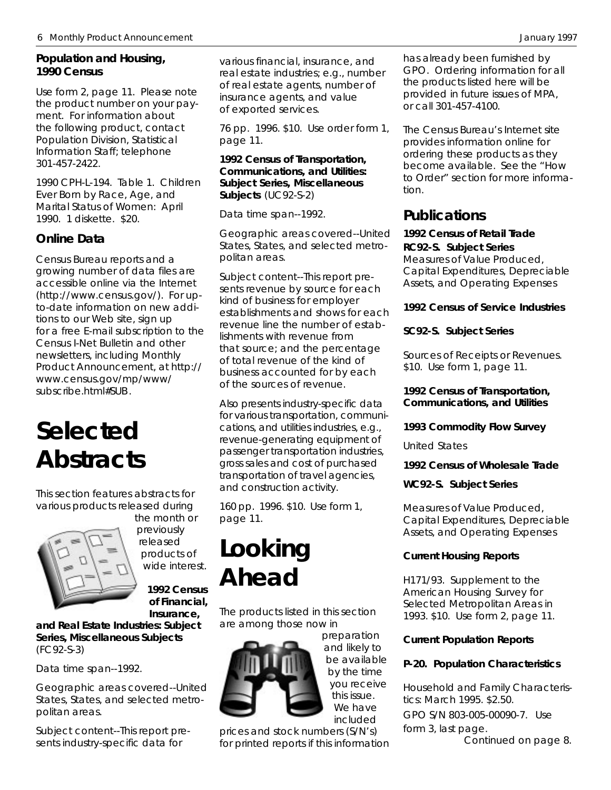### **Population and Housing, 1990 Census**

Use form 2, page 11. Please note the product number on your payment. For information about the following product, contact Population Division, Statistical Information Staff; telephone 301-457-2422.

*1990 CPH-L-194. Table 1. Children Ever Born by Race, Age, and Marital Status of Women: April 1990.* 1 diskette. \$20.

## **Online Data**

Census Bureau reports and a growing number of data files are accessible online via the Internet *(http://www.census.gov/)*. For upto-date information on new additions to our Web site, sign up for a free E-mail subscription to the Census I-Net Bulletin and other newsletters, including Monthly Product Announcement, at *http:// www.census.gov/mp/www/ subscribe.html#SUB* .

# **Selected Abstracts**

This section features abstracts for various products released during



the month or previously released products of wide interest.

> **1992 Census of Financial, Insurance,**

**and Real Estate Industries: Subject Series, Miscellaneous Subjects** (FC92-S-3)

*Data time span*--1992.

*Geographic areas covered*--United States, States, and selected metropolitan areas.

*Subject content*--This report presents industry-specific data for

various financial, insurance, and real estate industries; e.g., number of real estate agents, number of insurance agents, and value of exported services.

*76 pp. 1996. \$10. Use order form 1, page 11.*

### **1992 Census of Transportation, Communications, and Utilities: Subject Series, Miscellaneous Subjects** (UC92-S-2)

*Data time span*--1992.

*Geographic areas covered*--United States, States, and selected metropolitan areas.

*Subject content*--This report presents revenue by source for each kind of business for employer establishments and shows for each revenue line the number of establishments with revenue from that source; and the percentage of total revenue of the kind of business accounted for by each of the sources of revenue.

Also presents industry-specific data for various transportation, communications, and utilities industries, e.g., revenue-generating equipment of passenger transportation industries, gross sales and cost of purchased transportation of travel agencies, and construction activity.

*160 pp. 1996. \$10. Use form 1, page 11.*

# **Looking Ahead**

The products listed in this section are among those now in



preparation and likely to be available by the time you receive this issue. We have included

prices and stock numbers (S/N's) for printed reports if this information has already been furnished by GPO. Ordering information for all the products listed here will be provided in future issues of MPA, or call 301-457-4100.

The Census Bureau's Internet site provides information online for ordering these products as they become available. See the "How to Order" section for more information.

## **Publications**

### **1992 Census of Retail Trade RC92-S. Subject Series**

*Measures of Value Produced, Capital Expenditures, Depreciable Assets, and Operating Expenses*

## **1992 Census of Service Industries**

## **SC92-S. Subject Series**

*Sources of Receipts or Revenues.* \$10. Use form 1, page 11.

### **1992 Census of Transportation, Communications, and Utilities**

### **1993 Commodity Flow Survey**

*United States*

**1992 Census of Wholesale Trade**

**WC92-S. Subject Series**

*Measures of Value Produced, Capital Expenditures, Depreciable Assets, and Operating Expenses*

### **Current Housing Reports**

*H171/93. Supplement to the American Housing Survey for Selected Metropolitan Areas in 1993. \$10.*Use form 2, page 11.

## **Current Population Reports**

## **P-20. Population Characteristics**

*Household and Family Characteristics: March 1995.* \$2.50. GPO S/N 803-005-00090-7.Use form 3, last page.  *Continued on page 8.*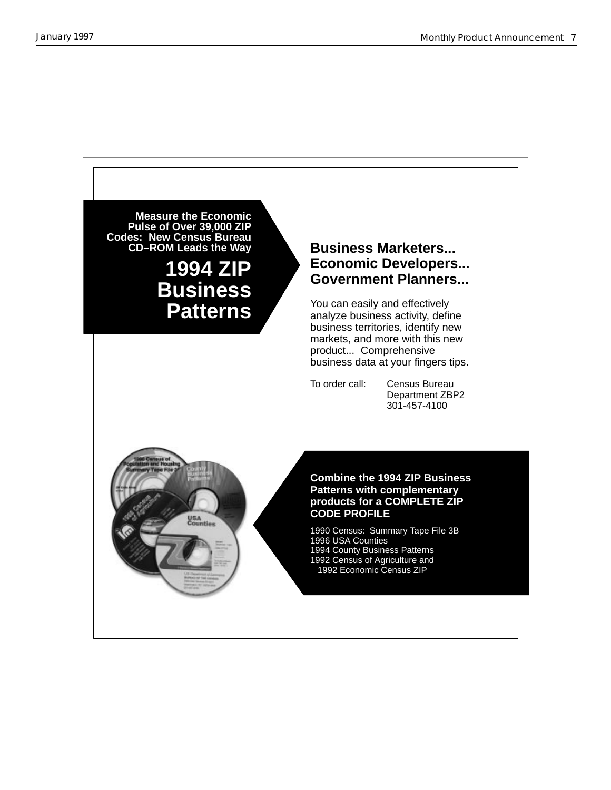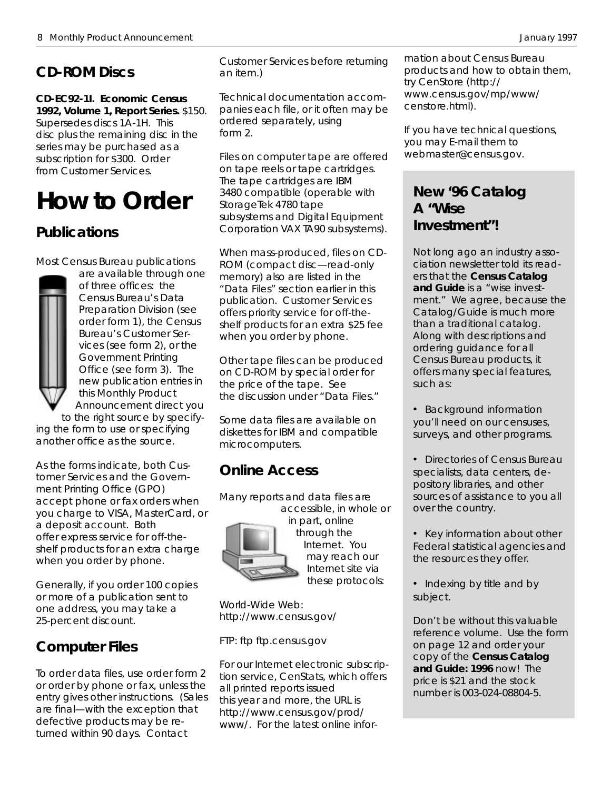# **CD-ROM Discs**

**CD-EC92-1I. Economic Census 1992, Volume 1, Report Series.** \$150. Supersedes discs 1A-1H. This disc plus the remaining disc in the series may be purchased as a subscription for \$300. Order from Customer Services.

# **How to Order**

## **Publications**

Most Census Bureau publications



are available through one of three offices: the Census Bureau's Data Preparation Division (see order form 1), the Census Bureau's Customer Services (see form 2), or the Government Printing Office (see form 3). The new publication entries in this *Monthly Product Announcement* direct you to the right source by specify-

ing the form to use or specifying another office as the source.

As the forms indicate, both Customer Services and the Government Printing Office (GPO) accept phone or fax orders when you charge to VISA, MasterCard, or a deposit account. Both offer express service for off-theshelf products for an extra charge when you order by phone.

Generally, if you order 100 copies or more of a publication sent to one address, you may take a 25-percent discount.

# **Computer Files**

To order data files, use order form 2 or order by phone or fax, unless the entry gives other instructions. (Sales are final—with the exception that defective products may be returned within 90 days. Contact

Customer Services before returning an item.)

Technical documentation accompanies each file, or it often may be ordered separately, using form 2.

Files on computer tape are offered on tape reels or tape cartridges. The tape cartridges are IBM 3480 compatible (operable with StorageTek 4780 tape subsystems and Digital Equipment Corporation VAX TA90 subsystems).

When mass-produced, files on CD-ROM (compact disc—read-only memory) also are listed in the "Data Files" section earlier in this publication. Customer Services offers priority service for off-theshelf products for an extra \$25 fee when you order by phone.

Other tape files can be produced on CD-ROM by special order for the price of the tape. See the discussion under "Data Files."

Some data files are available on diskettes for IBM and compatible microcomputers.

## **Online Access**

Many reports and data files are accessible, in whole or



in part, online through the Internet. You may reach our Internet site via these protocols:

World-Wide Web: http://www.census.gov/

FTP: ftp ftp.census.gov

For our Internet electronic subscription service, CenStats, which offers all printed reports issued this year and more, the URL is http://www.census.gov/prod/ www/. For the latest online infor-

mation about Census Bureau products and how to obtain them, try CenStore (http:// www.census.gov/mp/www/ censtore.html).

If you have technical questions, you may E-mail them to webmaster@census.gov.

## **New '96 Catalog A "Wise Investment"!**

Not long ago an industry association newsletter told its readers that the **Census Catalog and Guide** is a "wise investment." We agree, because the Catalog/Guide is much more than a traditional catalog. Along with descriptions and ordering guidance for all Census Bureau products, it offers many special features, such as:

• Background information you'll need on our censuses, surveys, and other programs.

- Directories of Census Bureau specialists, data centers, depository libraries, and other sources of assistance to you all over the country.
- Key information about other Federal statistical agencies and the resources they offer.
- Indexing by title and by subject.

Don't be without this valuable reference volume. Use the form on page 12 and order your copy of the **Census Catalog and Guide: 1996** now! The price is \$21 and the stock number is 003-024-08804-5.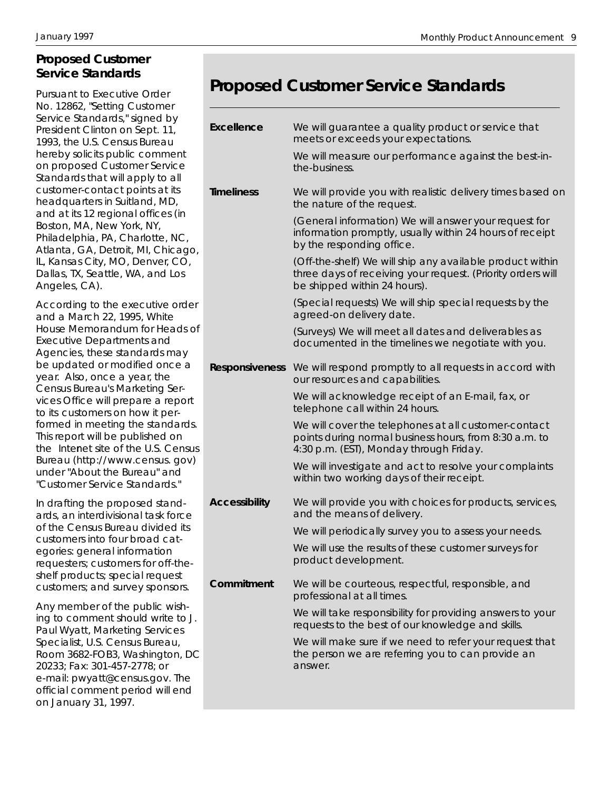## **Proposed Customer Service Standards**

Pursuant to Executive Order No. 12862, "Setting Customer Service Standards," signed by President Clinton on Sept. 11, 1993, the U.S. Census Bureau hereby solicits public comment on proposed Customer Service Standards that will apply to all customer-contact points at its headquarters in Suitland, MD, and at its 12 regional offices (in Boston, MA, New York, NY, Philadelphia, PA, Charlotte, NC, Atlanta, GA, Detroit, MI, Chicago, IL, Kansas City, MO, Denver, CO, Dallas, TX, Seattle, WA, and Los Angeles, CA).

According to the executive order and a March 22, 1995, White House Memorandum for Heads of Executive Departments and Agencies, these standards may be updated or modified once a year. Also, once a year, the Census Bureau's Marketing Services Office will prepare a report to its customers on how it performed in meeting the standards. This report will be published on the Internet site of the U.S. Census Bureau (http://www.census. gov) under "About the Bureau" and "Customer Service Standards."

In drafting the proposed standards, an interdivisional task force of the Census Bureau divided its customers into four broad categories: general information requesters; customers for off-theshelf products; special request customers; and survey sponsors.

Any member of the public wishing to comment should write to J. Paul Wyatt, Marketing Services Specialist, U.S. Census Bureau, Room 3682-FOB3, Washington, DC 20233; Fax: 301-457-2778; or e-mail: pwyatt@census.gov. The official comment period will end on January 31, 1997.

# **Proposed Customer Service Standards**

| <b>Excellence</b>    | We will guarantee a quality product or service that<br>meets or exceeds your expectations.                                                                |
|----------------------|-----------------------------------------------------------------------------------------------------------------------------------------------------------|
|                      | We will measure our performance against the best-in-<br>the-business.                                                                                     |
| <b>Timeliness</b>    | We will provide you with realistic delivery times based on<br>the nature of the request.                                                                  |
|                      | (General information) We will answer your request for<br>information promptly, usually within 24 hours of receipt<br>by the responding office.            |
|                      | (Off-the-shelf) We will ship any available product within<br>three days of receiving your request. (Priority orders will<br>be shipped within 24 hours).  |
|                      | (Special requests) We will ship special requests by the<br>agreed-on delivery date.                                                                       |
|                      | (Surveys) We will meet all dates and deliverables as<br>documented in the timelines we negotiate with you.                                                |
|                      | Responsiveness We will respond promptly to all requests in accord with<br>our resources and capabilities.                                                 |
|                      | We will acknowledge receipt of an E-mail, fax, or<br>telephone call within 24 hours.                                                                      |
|                      | We will cover the telephones at all customer-contact<br>points during normal business hours, from 8:30 a.m. to<br>4:30 p.m. (EST), Monday through Friday. |
|                      | We will investigate and act to resolve your complaints<br>within two working days of their receipt.                                                       |
| <b>Accessibility</b> | We will provide you with choices for products, services,<br>and the means of delivery.                                                                    |
|                      | We will periodically survey you to assess your needs.                                                                                                     |
|                      | We will use the results of these customer surveys for<br>product development.                                                                             |
| Commitment           | We will be courteous, respectful, responsible, and<br>professional at all times.                                                                          |
|                      | We will take responsibility for providing answers to your<br>requests to the best of our knowledge and skills.                                            |
|                      | We will make sure if we need to refer your request that<br>the person we are referring you to can provide an<br>answer.                                   |
|                      |                                                                                                                                                           |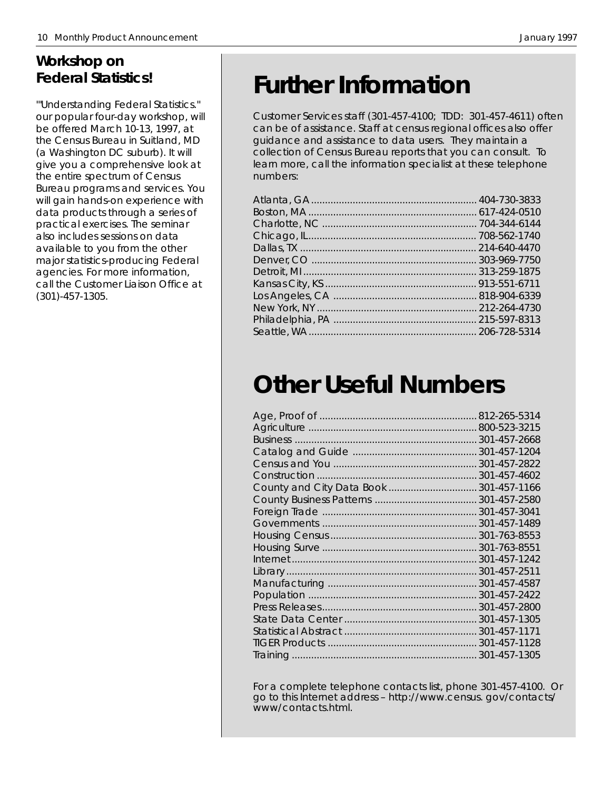## **Workshop on Federal Statistics!**

'"Understanding Federal Statistics.'' our popular four-day workshop, will be offered March 10-13, 1997, at the Census Bureau in Suitland, MD (a Washington DC suburb). It will give you a comprehensive look at the entire spectrum of Census Bureau programs and services. You will gain hands-on experience with data products through a series of practical exercises. The seminar also includes sessions on data available to you from the other major statistics-producing Federal agencies. For more information, call the Customer Liaison Office at (301)-457-1305.

# **Further Information**

Customer Services staff (301-457-4100; TDD: 301-457-4611) often can be of assistance. Staff at census regional offices also offer guidance and assistance to data users. They maintain a collection of Census Bureau reports that you can consult. To learn more, call the information specialist at these telephone numbers:

# **Other Useful Numbers**

| 301-457-2668 |
|--------------|
|              |
|              |
|              |
| 301-457-1166 |
|              |
|              |
|              |
| 301-763-8553 |
|              |
|              |
|              |
| 301-457-4587 |
| 301-457-2422 |
| 301-457-2800 |
|              |
| 301-457-1171 |
|              |
|              |
|              |

For a complete telephone contacts list, phone 301-457-4100. Or go to this Internet address – http://www.census. gov/contacts/ www/contacts.html.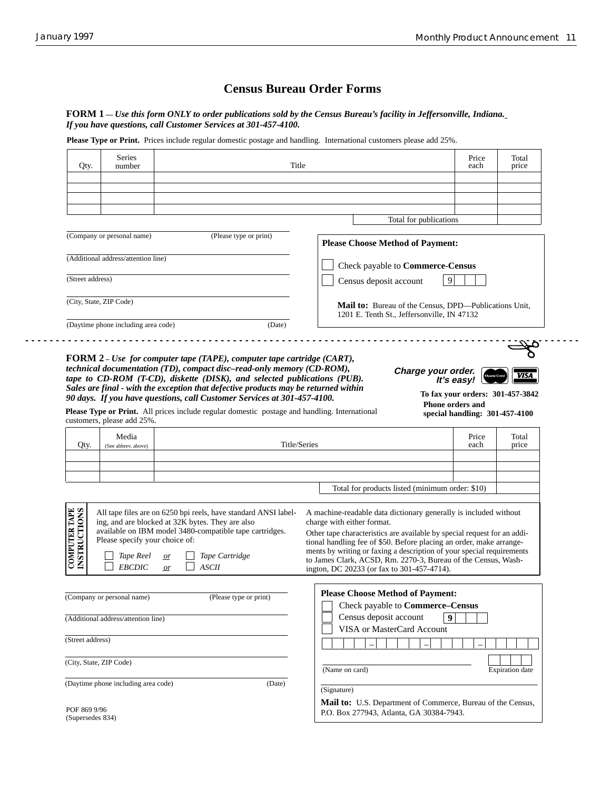$\sim$   $\sim$ 

### **Census Bureau Order Forms**

**FORM 1 —** *Use this form ONLY to order publications sold by the Census Bureau's facility in Jeffersonville, Indiana. If you have questions, call Customer Services at 301-457-4100.*

Please Type or Print. Prices include regular domestic postage and handling. International customers please add 25%.

|                                      | number                                                       | Title                                                                                                                                                                                                                               |                                                                                                                                                                                                                                                                                                                                                                                                                                           | Price<br>each                           | Total<br>price         |
|--------------------------------------|--------------------------------------------------------------|-------------------------------------------------------------------------------------------------------------------------------------------------------------------------------------------------------------------------------------|-------------------------------------------------------------------------------------------------------------------------------------------------------------------------------------------------------------------------------------------------------------------------------------------------------------------------------------------------------------------------------------------------------------------------------------------|-----------------------------------------|------------------------|
|                                      |                                                              |                                                                                                                                                                                                                                     |                                                                                                                                                                                                                                                                                                                                                                                                                                           |                                         |                        |
|                                      |                                                              |                                                                                                                                                                                                                                     |                                                                                                                                                                                                                                                                                                                                                                                                                                           |                                         |                        |
|                                      |                                                              |                                                                                                                                                                                                                                     |                                                                                                                                                                                                                                                                                                                                                                                                                                           |                                         |                        |
|                                      |                                                              |                                                                                                                                                                                                                                     | Total for publications                                                                                                                                                                                                                                                                                                                                                                                                                    |                                         |                        |
|                                      | (Company or personal name)                                   | (Please type or print)                                                                                                                                                                                                              | <b>Please Choose Method of Payment:</b>                                                                                                                                                                                                                                                                                                                                                                                                   |                                         |                        |
|                                      | (Additional address/attention line)                          |                                                                                                                                                                                                                                     | Check payable to Commerce-Census                                                                                                                                                                                                                                                                                                                                                                                                          |                                         |                        |
| (Street address)                     |                                                              |                                                                                                                                                                                                                                     | Census deposit account                                                                                                                                                                                                                                                                                                                                                                                                                    | 9                                       |                        |
|                                      | (City, State, ZIP Code)                                      |                                                                                                                                                                                                                                     | Mail to: Bureau of the Census, DPD—Publications Unit,                                                                                                                                                                                                                                                                                                                                                                                     |                                         |                        |
|                                      | (Daytime phone including area code)                          | (Date)                                                                                                                                                                                                                              | 1201 E. Tenth St., Jeffersonville, IN 47132                                                                                                                                                                                                                                                                                                                                                                                               |                                         |                        |
| Qty.                                 | customers, please add 25%.<br>Media<br>(See abbrev. above)   | <b>Please Type or Print.</b> All prices include regular domestic postage and handling. International                                                                                                                                |                                                                                                                                                                                                                                                                                                                                                                                                                                           | special handling: 301-457-4100<br>Price | Total                  |
|                                      |                                                              |                                                                                                                                                                                                                                     | Title/Series                                                                                                                                                                                                                                                                                                                                                                                                                              | each                                    | price                  |
|                                      |                                                              |                                                                                                                                                                                                                                     | Total for products listed (minimum order: \$10)                                                                                                                                                                                                                                                                                                                                                                                           |                                         |                        |
| <b>COMPUTER TAPE</b><br>INSTRUCTIONS | Please specify your choice of:<br>Tape Reel<br><b>EBCDIC</b> | All tape files are on 6250 bpi reels, have standard ANSI label-<br>ing, and are blocked at 32K bytes. They are also<br>available on IBM model 3480-compatible tape cartridges.<br>Tape Cartridge<br>or<br><b>ASCII</b><br><i>or</i> | A machine-readable data dictionary generally is included without<br>charge with either format.<br>Other tape characteristics are available by special request for an addi-<br>tional handling fee of \$50. Before placing an order, make arrange-<br>ments by writing or faxing a description of your special requirements<br>to James Clark, ACSD, Rm. 2270-3, Bureau of the Census, Wash-<br>ington, DC 20233 (or fax to 301-457-4714). |                                         |                        |
|                                      | (Company or personal name)                                   | (Please type or print)                                                                                                                                                                                                              | <b>Please Choose Method of Payment:</b><br>Check payable to Commerce-Census                                                                                                                                                                                                                                                                                                                                                               | $\boldsymbol{Q}$                        |                        |
|                                      | (Additional address/attention line)                          |                                                                                                                                                                                                                                     | Census deposit account<br>VISA or MasterCard Account                                                                                                                                                                                                                                                                                                                                                                                      |                                         |                        |
| (Street address)                     |                                                              |                                                                                                                                                                                                                                     |                                                                                                                                                                                                                                                                                                                                                                                                                                           |                                         |                        |
|                                      | (City, State, ZIP Code)                                      |                                                                                                                                                                                                                                     | (Name on card)                                                                                                                                                                                                                                                                                                                                                                                                                            |                                         |                        |
|                                      | (Daytime phone including area code)                          | (Date)                                                                                                                                                                                                                              | (Signature)                                                                                                                                                                                                                                                                                                                                                                                                                               |                                         | <b>Expiration</b> date |